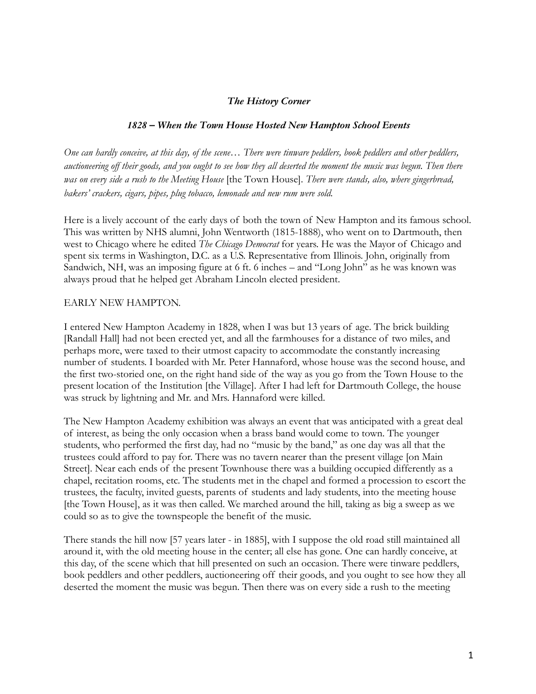## *The History Corner*

## *1828 – When the Town House Hosted New Hampton School Events*

*One can hardly conceive, at this day, of the scene… There were tinware peddlers, book peddlers and other peddlers, auctioneering off their goods, and you ought to see how they all deserted the moment the music was begun. Then there was on every side a rush to the Meeting House* [the Town House]. *There were stands, also, where gingerbread, bakers' crackers, cigars, pipes, plug tobacco, lemonade and new rum were sold.*

Here is a lively account of the early days of both the town of New Hampton and its famous school. This was written by NHS alumni, John Wentworth (1815-1888), who went on to Dartmouth, then west to Chicago where he edited *The Chicago Democrat* for years. He was the Mayor of Chicago and spent six terms in Washington, D.C. as a U.S. Representative from Illinois. John, originally from Sandwich, NH, was an imposing figure at 6 ft. 6 inches – and "Long John" as he was known was always proud that he helped get Abraham Lincoln elected president.

## EARLY NEW HAMPTON.

I entered New Hampton Academy in 1828, when I was but 13 years of age. The brick building [Randall Hall] had not been erected yet, and all the farmhouses for a distance of two miles, and perhaps more, were taxed to their utmost capacity to accommodate the constantly increasing number of students. I boarded with Mr. Peter Hannaford, whose house was the second house, and the first two-storied one, on the right hand side of the way as you go from the Town House to the present location of the Institution [the Village]. After I had left for Dartmouth College, the house was struck by lightning and Mr. and Mrs. Hannaford were killed.

The New Hampton Academy exhibition was always an event that was anticipated with a great deal of interest, as being the only occasion when a brass band would come to town. The younger students, who performed the first day, had no "music by the band," as one day was all that the trustees could afford to pay for. There was no tavern nearer than the present village [on Main Street]. Near each ends of the present Townhouse there was a building occupied differently as a chapel, recitation rooms, etc. The students met in the chapel and formed a procession to escort the trustees, the faculty, invited guests, parents of students and lady students, into the meeting house [the Town House], as it was then called. We marched around the hill, taking as big a sweep as we could so as to give the townspeople the benefit of the music.

There stands the hill now [57 years later - in 1885], with I suppose the old road still maintained all around it, with the old meeting house in the center; all else has gone. One can hardly conceive, at this day, of the scene which that hill presented on such an occasion. There were tinware peddlers, book peddlers and other peddlers, auctioneering off their goods, and you ought to see how they all deserted the moment the music was begun. Then there was on every side a rush to the meeting